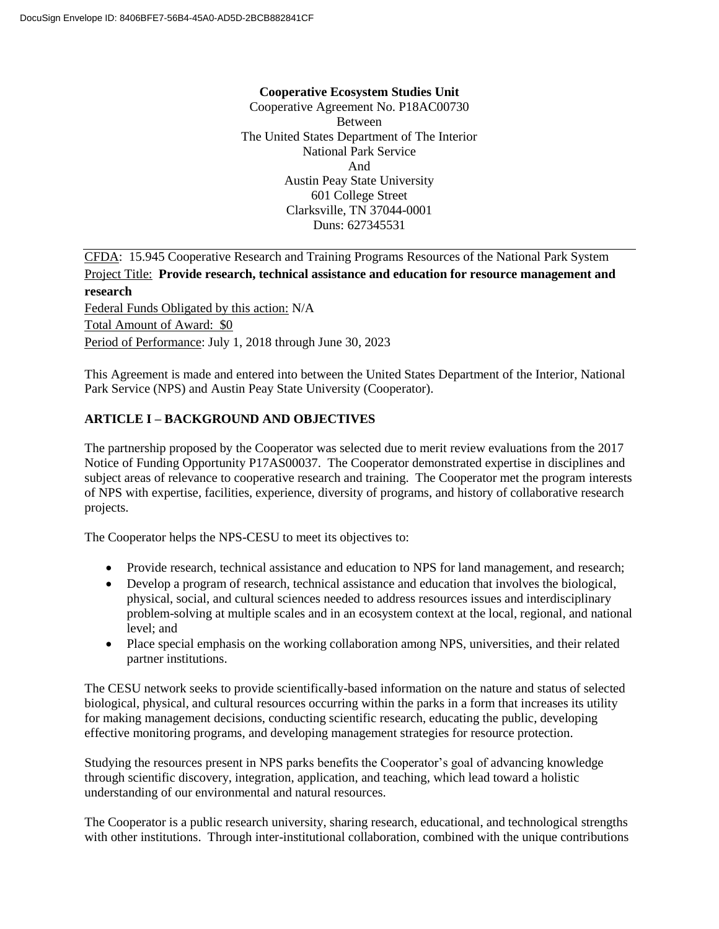#### **Cooperative Ecosystem Studies Unit**

Cooperative Agreement No. P18AC00730 Between The United States Department of The Interior National Park Service And Austin Peay State University 601 College Street Clarksville, TN 37044-0001 Duns: 627345531

CFDA: 15.945 Cooperative Research and Training Programs Resources of the National Park System Project Title: **Provide research, technical assistance and education for resource management and research** Federal Funds Obligated by this action: N/A Total Amount of Award: \$0 Period of Performance: July 1, 2018 through June 30, 2023

This Agreement is made and entered into between the United States Department of the Interior, National Park Service (NPS) and Austin Peay State University (Cooperator).

## **ARTICLE I – BACKGROUND AND OBJECTIVES**

The partnership proposed by the Cooperator was selected due to merit review evaluations from the 2017 Notice of Funding Opportunity P17AS00037. The Cooperator demonstrated expertise in disciplines and subject areas of relevance to cooperative research and training. The Cooperator met the program interests of NPS with expertise, facilities, experience, diversity of programs, and history of collaborative research projects.

The Cooperator helps the NPS-CESU to meet its objectives to:

- Provide research, technical assistance and education to NPS for land management, and research;
- Develop a program of research, technical assistance and education that involves the biological, physical, social, and cultural sciences needed to address resources issues and interdisciplinary problem-solving at multiple scales and in an ecosystem context at the local, regional, and national level; and
- Place special emphasis on the working collaboration among NPS, universities, and their related partner institutions.

The CESU network seeks to provide scientifically-based information on the nature and status of selected biological, physical, and cultural resources occurring within the parks in a form that increases its utility for making management decisions, conducting scientific research, educating the public, developing effective monitoring programs, and developing management strategies for resource protection.

Studying the resources present in NPS parks benefits the Cooperator's goal of advancing knowledge through scientific discovery, integration, application, and teaching, which lead toward a holistic understanding of our environmental and natural resources.

The Cooperator is a public research university, sharing research, educational, and technological strengths with other institutions. Through inter-institutional collaboration, combined with the unique contributions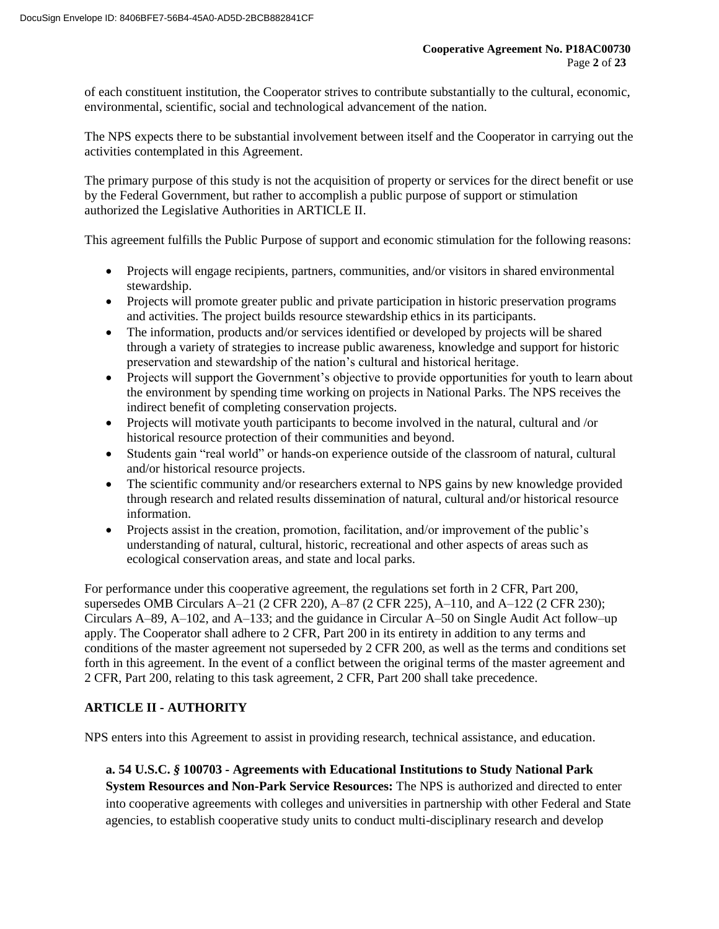of each constituent institution, the Cooperator strives to contribute substantially to the cultural, economic, environmental, scientific, social and technological advancement of the nation.

The NPS expects there to be substantial involvement between itself and the Cooperator in carrying out the activities contemplated in this Agreement.

The primary purpose of this study is not the acquisition of property or services for the direct benefit or use by the Federal Government, but rather to accomplish a public purpose of support or stimulation authorized the Legislative Authorities in ARTICLE II.

This agreement fulfills the Public Purpose of support and economic stimulation for the following reasons:

- Projects will engage recipients, partners, communities, and/or visitors in shared environmental stewardship.
- Projects will promote greater public and private participation in historic preservation programs and activities. The project builds resource stewardship ethics in its participants.
- The information, products and/or services identified or developed by projects will be shared through a variety of strategies to increase public awareness, knowledge and support for historic preservation and stewardship of the nation's cultural and historical heritage.
- Projects will support the Government's objective to provide opportunities for youth to learn about the environment by spending time working on projects in National Parks. The NPS receives the indirect benefit of completing conservation projects.
- Projects will motivate youth participants to become involved in the natural, cultural and /or historical resource protection of their communities and beyond.
- Students gain "real world" or hands-on experience outside of the classroom of natural, cultural and/or historical resource projects.
- The scientific community and/or researchers external to NPS gains by new knowledge provided through research and related results dissemination of natural, cultural and/or historical resource information.
- Projects assist in the creation, promotion, facilitation, and/or improvement of the public's understanding of natural, cultural, historic, recreational and other aspects of areas such as ecological conservation areas, and state and local parks.

For performance under this cooperative agreement, the regulations set forth in 2 CFR, Part 200, supersedes OMB Circulars A–21 (2 CFR 220), A–87 (2 CFR 225), A–110, and A–122 (2 CFR 230); Circulars A–89, A–102, and A–133; and the guidance in Circular A–50 on Single Audit Act follow–up apply. The Cooperator shall adhere to 2 CFR, Part 200 in its entirety in addition to any terms and conditions of the master agreement not superseded by 2 CFR 200, as well as the terms and conditions set forth in this agreement. In the event of a conflict between the original terms of the master agreement and 2 CFR, Part 200, relating to this task agreement, 2 CFR, Part 200 shall take precedence.

# **ARTICLE II - AUTHORITY**

NPS enters into this Agreement to assist in providing research, technical assistance, and education.

**a. 54 U.S.C.** *§* **100703 - Agreements with Educational Institutions to Study National Park System Resources and Non-Park Service Resources:** The NPS is authorized and directed to enter into cooperative agreements with colleges and universities in partnership with other Federal and State agencies, to establish cooperative study units to conduct multi-disciplinary research and develop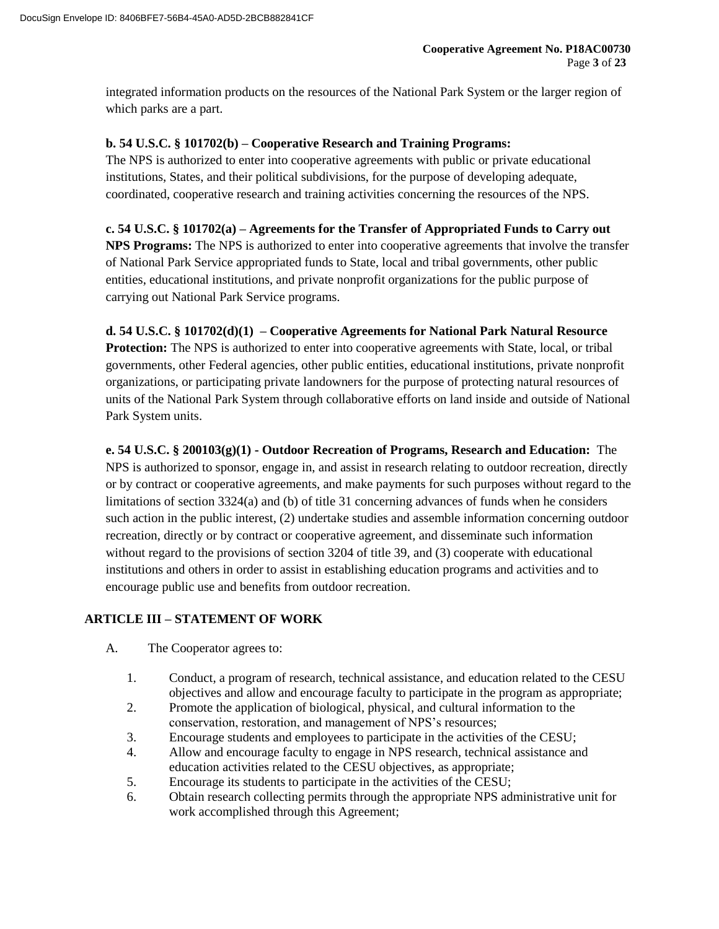integrated information products on the resources of the National Park System or the larger region of which parks are a part.

#### **b. 54 U.S.C. § 101702(b) – Cooperative Research and Training Programs:**

The NPS is authorized to enter into cooperative agreements with public or private educational institutions, States, and their political subdivisions, for the purpose of developing adequate, coordinated, cooperative research and training activities concerning the resources of the NPS.

### **c. 54 U.S.C. § 101702(a) – Agreements for the Transfer of Appropriated Funds to Carry out**

**NPS Programs:** The NPS is authorized to enter into cooperative agreements that involve the transfer of National Park Service appropriated funds to State, local and tribal governments, other public entities, educational institutions, and private nonprofit organizations for the public purpose of carrying out National Park Service programs.

#### **d. 54 U.S.C. § 101702(d)(1) – Cooperative Agreements for National Park Natural Resource**

**Protection:** The NPS is authorized to enter into cooperative agreements with State, local, or tribal governments, other Federal agencies, other public entities, educational institutions, private nonprofit organizations, or participating private landowners for the purpose of protecting natural resources of units of the National Park System through collaborative efforts on land inside and outside of National Park System units.

**e. 54 U.S.C. § 200103(g)(1) - Outdoor Recreation of Programs, Research and Education:** The NPS is authorized to sponsor, engage in, and assist in research relating to outdoor recreation, directly or by contract or cooperative agreements, and make payments for such purposes without regard to the limitations of section 3324(a) and (b) of title 31 concerning advances of funds when he considers such action in the public interest, (2) undertake studies and assemble information concerning outdoor recreation, directly or by contract or cooperative agreement, and disseminate such information without regard to the provisions of section 3204 of title 39, and (3) cooperate with educational institutions and others in order to assist in establishing education programs and activities and to encourage public use and benefits from outdoor recreation.

## **ARTICLE III – STATEMENT OF WORK**

- A. The Cooperator agrees to:
	- 1. Conduct, a program of research, technical assistance, and education related to the CESU objectives and allow and encourage faculty to participate in the program as appropriate;
	- 2. Promote the application of biological, physical, and cultural information to the conservation, restoration, and management of NPS's resources;
	- 3. Encourage students and employees to participate in the activities of the CESU;
	- 4. Allow and encourage faculty to engage in NPS research, technical assistance and education activities related to the CESU objectives, as appropriate;
	- 5. Encourage its students to participate in the activities of the CESU;
	- 6. Obtain research collecting permits through the appropriate NPS administrative unit for work accomplished through this Agreement;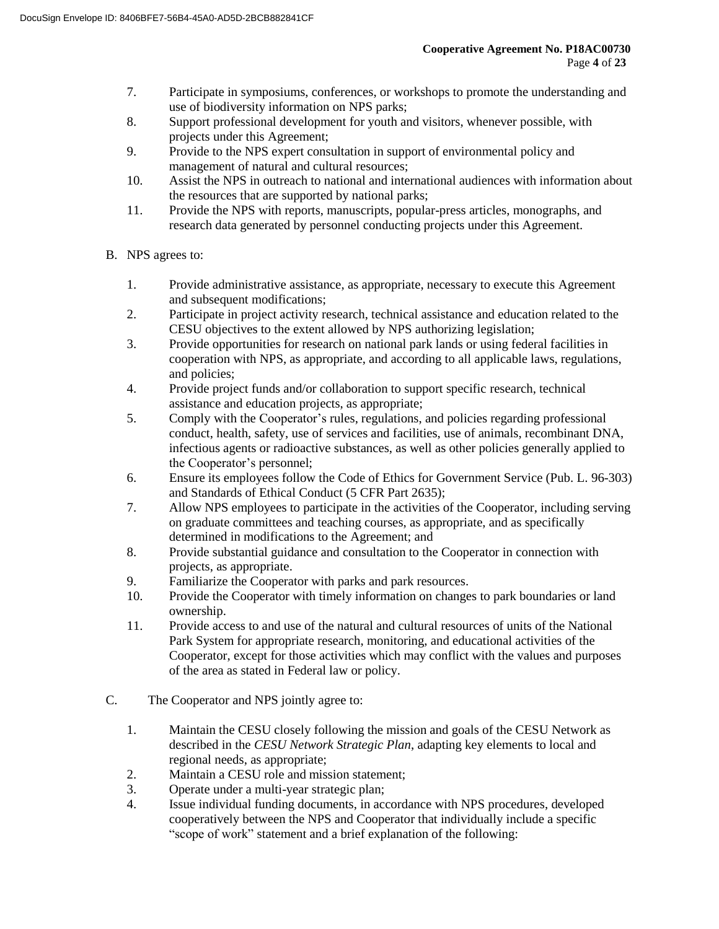- 7. Participate in symposiums, conferences, or workshops to promote the understanding and use of biodiversity information on NPS parks;
- 8. Support professional development for youth and visitors, whenever possible, with projects under this Agreement;
- 9. Provide to the NPS expert consultation in support of environmental policy and management of natural and cultural resources;
- 10. Assist the NPS in outreach to national and international audiences with information about the resources that are supported by national parks;
- 11. Provide the NPS with reports, manuscripts, popular-press articles, monographs, and research data generated by personnel conducting projects under this Agreement.
- B. NPS agrees to:
	- 1. Provide administrative assistance, as appropriate, necessary to execute this Agreement and subsequent modifications;
	- 2. Participate in project activity research, technical assistance and education related to the CESU objectives to the extent allowed by NPS authorizing legislation;
	- 3. Provide opportunities for research on national park lands or using federal facilities in cooperation with NPS, as appropriate, and according to all applicable laws, regulations, and policies;
	- 4. Provide project funds and/or collaboration to support specific research, technical assistance and education projects, as appropriate;
	- 5. Comply with the Cooperator's rules, regulations, and policies regarding professional conduct, health, safety, use of services and facilities, use of animals, recombinant DNA, infectious agents or radioactive substances, as well as other policies generally applied to the Cooperator's personnel;
	- 6. Ensure its employees follow the Code of Ethics for Government Service (Pub. L. 96-303) and Standards of Ethical Conduct (5 CFR Part 2635);
	- 7. Allow NPS employees to participate in the activities of the Cooperator, including serving on graduate committees and teaching courses, as appropriate, and as specifically determined in modifications to the Agreement; and
	- 8. Provide substantial guidance and consultation to the Cooperator in connection with projects, as appropriate.
	- 9. Familiarize the Cooperator with parks and park resources.
	- 10. Provide the Cooperator with timely information on changes to park boundaries or land ownership.
	- 11. Provide access to and use of the natural and cultural resources of units of the National Park System for appropriate research, monitoring, and educational activities of the Cooperator, except for those activities which may conflict with the values and purposes of the area as stated in Federal law or policy.
- C. The Cooperator and NPS jointly agree to:
	- 1. Maintain the CESU closely following the mission and goals of the CESU Network as described in the *CESU Network Strategic Plan*, adapting key elements to local and regional needs, as appropriate;
	- 2. Maintain a CESU role and mission statement;
	- 3. Operate under a multi-year strategic plan;
	- 4. Issue individual funding documents, in accordance with NPS procedures, developed cooperatively between the NPS and Cooperator that individually include a specific "scope of work" statement and a brief explanation of the following: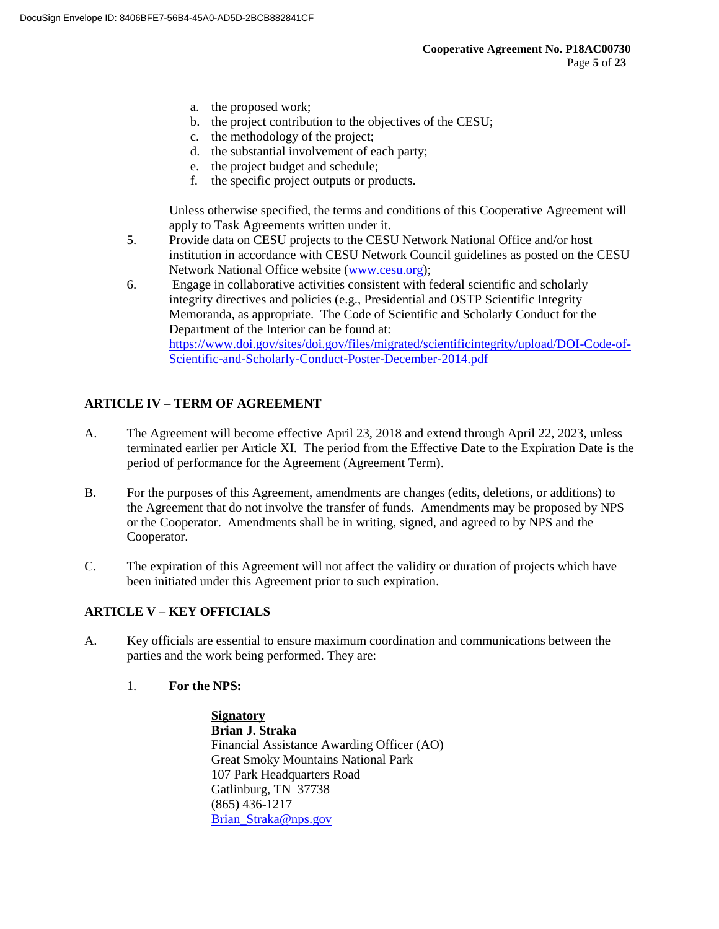- a. the proposed work;
- b. the project contribution to the objectives of the CESU;
- c. the methodology of the project;
- d. the substantial involvement of each party;
- e. the project budget and schedule;
- f. the specific project outputs or products.

Unless otherwise specified, the terms and conditions of this Cooperative Agreement will apply to Task Agreements written under it.

- 5. Provide data on CESU projects to the CESU Network National Office and/or host institution in accordance with CESU Network Council guidelines as posted on the CESU Network National Office website (www.cesu.org);
- 6. Engage in collaborative activities consistent with federal scientific and scholarly integrity directives and policies (e.g., Presidential and OSTP Scientific Integrity Memoranda, as appropriate. The Code of Scientific and Scholarly Conduct for the Department of the Interior can be found at: https://www.doi.gov/sites/doi.gov/files/migrated/scientificintegrity/upload/DOI-Code-of-Scientific-and-Scholarly-Conduct-Poster-December-2014.pdf

# **ARTICLE IV – TERM OF AGREEMENT**

- A. The Agreement will become effective April 23, 2018 and extend through April 22, 2023, unless terminated earlier per Article XI. The period from the Effective Date to the Expiration Date is the period of performance for the Agreement (Agreement Term).
- B. For the purposes of this Agreement, amendments are changes (edits, deletions, or additions) to the Agreement that do not involve the transfer of funds. Amendments may be proposed by NPS or the Cooperator. Amendments shall be in writing, signed, and agreed to by NPS and the Cooperator.
- C. The expiration of this Agreement will not affect the validity or duration of projects which have been initiated under this Agreement prior to such expiration.

## **ARTICLE V – KEY OFFICIALS**

- A. Key officials are essential to ensure maximum coordination and communications between the parties and the work being performed. They are:
	- 1. **For the NPS:**

**Signatory Brian J. Straka** Financial Assistance Awarding Officer (AO) Great Smoky Mountains National Park 107 Park Headquarters Road Gatlinburg, TN 37738 (865) 436-1217 Brian\_Straka@nps.gov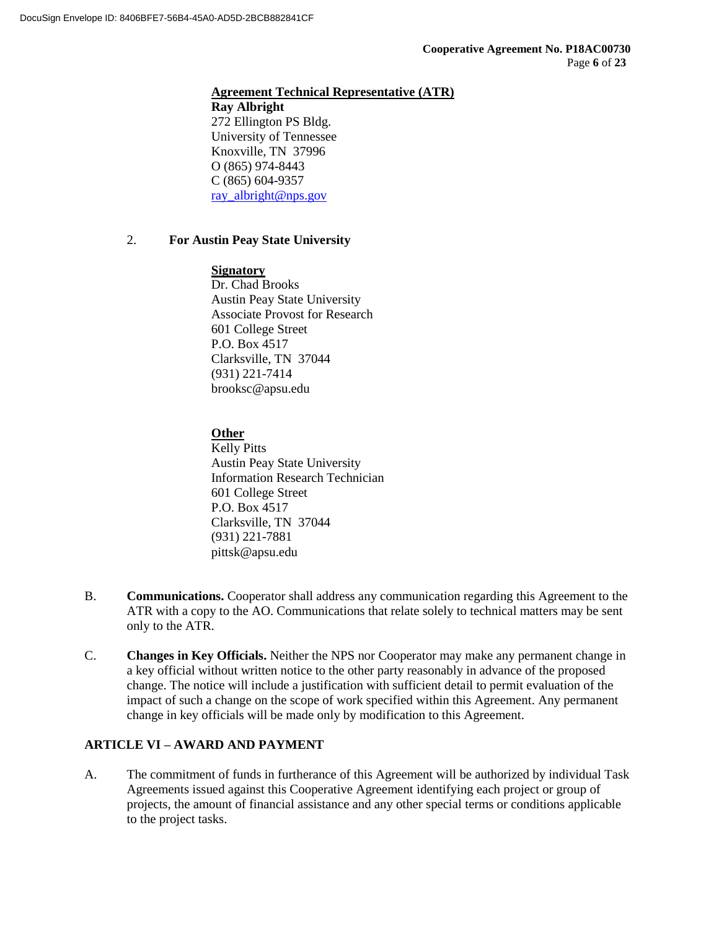### **Agreement Technical Representative (ATR)**

**Ray Albright** 272 Ellington PS Bldg. University of Tennessee Knoxville, TN 37996 O (865) 974-8443 C (865) 604-9357 ray\_albright@nps.gov

### 2. **For Austin Peay State University**

#### **Signatory**

Dr. Chad Brooks Austin Peay State University Associate Provost for Research 601 College Street P.O. Box 4517 Clarksville, TN 37044 (931) 221-7414 brooksc@apsu.edu

## **Other**

Kelly Pitts Austin Peay State University Information Research Technician 601 College Street P.O. Box 4517 Clarksville, TN 37044 (931) 221-7881 pittsk@apsu.edu

- B. **Communications.** Cooperator shall address any communication regarding this Agreement to the ATR with a copy to the AO. Communications that relate solely to technical matters may be sent only to the ATR.
- C. **Changes in Key Officials.** Neither the NPS nor Cooperator may make any permanent change in a key official without written notice to the other party reasonably in advance of the proposed change. The notice will include a justification with sufficient detail to permit evaluation of the impact of such a change on the scope of work specified within this Agreement. Any permanent change in key officials will be made only by modification to this Agreement.

## **ARTICLE VI – AWARD AND PAYMENT**

A. The commitment of funds in furtherance of this Agreement will be authorized by individual Task Agreements issued against this Cooperative Agreement identifying each project or group of projects, the amount of financial assistance and any other special terms or conditions applicable to the project tasks.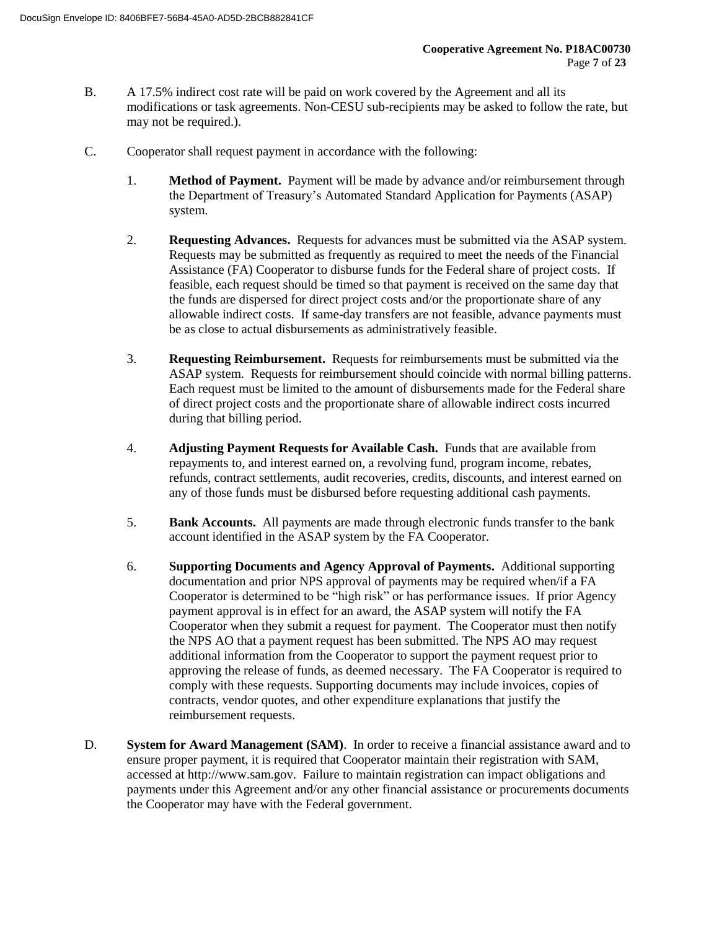- B. A 17.5% indirect cost rate will be paid on work covered by the Agreement and all its modifications or task agreements. Non-CESU sub-recipients may be asked to follow the rate, but may not be required.).
- C. Cooperator shall request payment in accordance with the following:
	- 1. **Method of Payment.** Payment will be made by advance and/or reimbursement through the Department of Treasury's Automated Standard Application for Payments (ASAP) system.
	- 2. **Requesting Advances.** Requests for advances must be submitted via the ASAP system. Requests may be submitted as frequently as required to meet the needs of the Financial Assistance (FA) Cooperator to disburse funds for the Federal share of project costs. If feasible, each request should be timed so that payment is received on the same day that the funds are dispersed for direct project costs and/or the proportionate share of any allowable indirect costs. If same-day transfers are not feasible, advance payments must be as close to actual disbursements as administratively feasible.
	- 3. **Requesting Reimbursement.** Requests for reimbursements must be submitted via the ASAP system. Requests for reimbursement should coincide with normal billing patterns. Each request must be limited to the amount of disbursements made for the Federal share of direct project costs and the proportionate share of allowable indirect costs incurred during that billing period.
	- 4. **Adjusting Payment Requests for Available Cash.** Funds that are available from repayments to, and interest earned on, a revolving fund, program income, rebates, refunds, contract settlements, audit recoveries, credits, discounts, and interest earned on any of those funds must be disbursed before requesting additional cash payments.
	- 5. **Bank Accounts.** All payments are made through electronic funds transfer to the bank account identified in the ASAP system by the FA Cooperator.
	- 6. **Supporting Documents and Agency Approval of Payments.** Additional supporting documentation and prior NPS approval of payments may be required when/if a FA Cooperator is determined to be "high risk" or has performance issues. If prior Agency payment approval is in effect for an award, the ASAP system will notify the FA Cooperator when they submit a request for payment. The Cooperator must then notify the NPS AO that a payment request has been submitted. The NPS AO may request additional information from the Cooperator to support the payment request prior to approving the release of funds, as deemed necessary. The FA Cooperator is required to comply with these requests. Supporting documents may include invoices, copies of contracts, vendor quotes, and other expenditure explanations that justify the reimbursement requests.
- D. **System for Award Management (SAM)**. In order to receive a financial assistance award and to ensure proper payment, it is required that Cooperator maintain their registration with SAM, accessed at http://www.sam.gov. Failure to maintain registration can impact obligations and payments under this Agreement and/or any other financial assistance or procurements documents the Cooperator may have with the Federal government.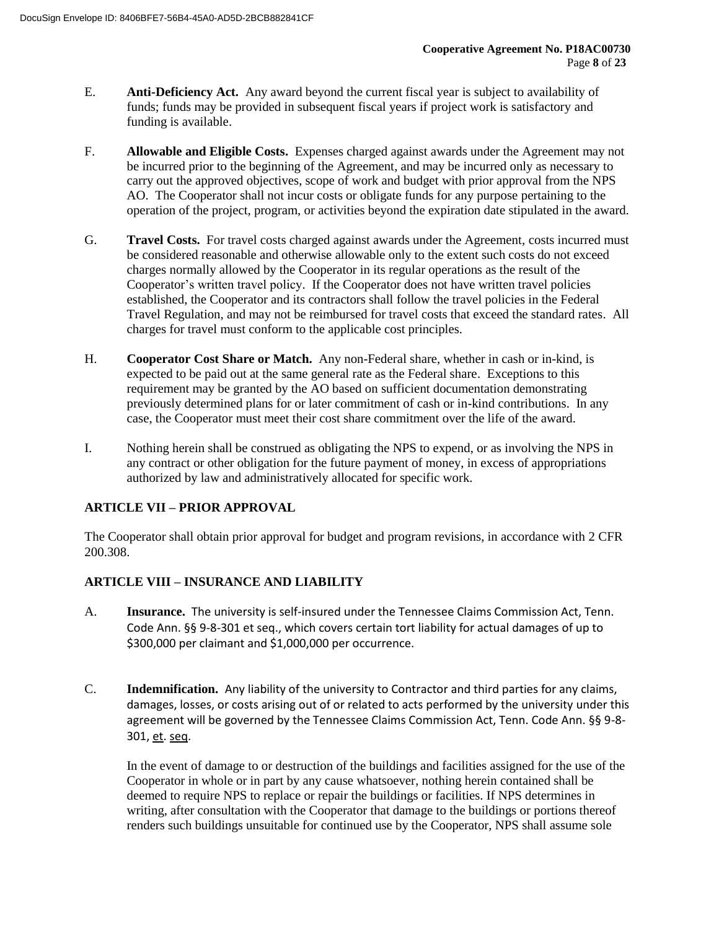- E. **Anti-Deficiency Act.** Any award beyond the current fiscal year is subject to availability of funds; funds may be provided in subsequent fiscal years if project work is satisfactory and funding is available.
- F. **Allowable and Eligible Costs.** Expenses charged against awards under the Agreement may not be incurred prior to the beginning of the Agreement, and may be incurred only as necessary to carry out the approved objectives, scope of work and budget with prior approval from the NPS AO. The Cooperator shall not incur costs or obligate funds for any purpose pertaining to the operation of the project, program, or activities beyond the expiration date stipulated in the award.
- G. **Travel Costs.** For travel costs charged against awards under the Agreement, costs incurred must be considered reasonable and otherwise allowable only to the extent such costs do not exceed charges normally allowed by the Cooperator in its regular operations as the result of the Cooperator's written travel policy. If the Cooperator does not have written travel policies established, the Cooperator and its contractors shall follow the travel policies in the Federal Travel Regulation, and may not be reimbursed for travel costs that exceed the standard rates. All charges for travel must conform to the applicable cost principles.
- H. **Cooperator Cost Share or Match.** Any non-Federal share, whether in cash or in-kind, is expected to be paid out at the same general rate as the Federal share. Exceptions to this requirement may be granted by the AO based on sufficient documentation demonstrating previously determined plans for or later commitment of cash or in-kind contributions. In any case, the Cooperator must meet their cost share commitment over the life of the award.
- I. Nothing herein shall be construed as obligating the NPS to expend, or as involving the NPS in any contract or other obligation for the future payment of money, in excess of appropriations authorized by law and administratively allocated for specific work.

## **ARTICLE VII – PRIOR APPROVAL**

The Cooperator shall obtain prior approval for budget and program revisions, in accordance with 2 CFR 200.308.

## **ARTICLE VIII – INSURANCE AND LIABILITY**

- A. **Insurance.** The university is self-insured under the Tennessee Claims Commission Act, Tenn. Code Ann. §§ 9-8-301 et seq., which covers certain tort liability for actual damages of up to \$300,000 per claimant and \$1,000,000 per occurrence.
- C. **Indemnification.** Any liability of the university to Contractor and third parties for any claims, damages, losses, or costs arising out of or related to acts performed by the university under this agreement will be governed by the Tennessee Claims Commission Act, Tenn. Code Ann. §§ 9-8- 301, et. seq.

In the event of damage to or destruction of the buildings and facilities assigned for the use of the Cooperator in whole or in part by any cause whatsoever, nothing herein contained shall be deemed to require NPS to replace or repair the buildings or facilities. If NPS determines in writing, after consultation with the Cooperator that damage to the buildings or portions thereof renders such buildings unsuitable for continued use by the Cooperator, NPS shall assume sole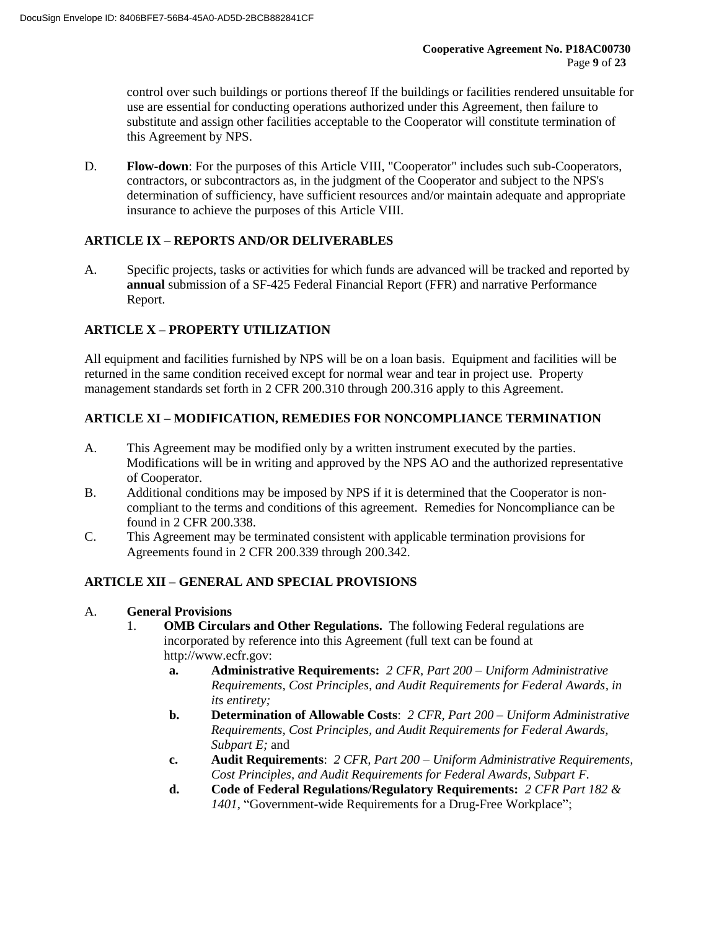control over such buildings or portions thereof If the buildings or facilities rendered unsuitable for use are essential for conducting operations authorized under this Agreement, then failure to substitute and assign other facilities acceptable to the Cooperator will constitute termination of this Agreement by NPS.

D. **Flow-down**: For the purposes of this Article VIII, "Cooperator" includes such sub-Cooperators, contractors, or subcontractors as, in the judgment of the Cooperator and subject to the NPS's determination of sufficiency, have sufficient resources and/or maintain adequate and appropriate insurance to achieve the purposes of this Article VIII.

## **ARTICLE IX – REPORTS AND/OR DELIVERABLES**

A. Specific projects, tasks or activities for which funds are advanced will be tracked and reported by **annual** submission of a SF-425 Federal Financial Report (FFR) and narrative Performance Report.

## **ARTICLE X – PROPERTY UTILIZATION**

All equipment and facilities furnished by NPS will be on a loan basis. Equipment and facilities will be returned in the same condition received except for normal wear and tear in project use. Property management standards set forth in 2 CFR 200.310 through 200.316 apply to this Agreement.

## **ARTICLE XI – MODIFICATION, REMEDIES FOR NONCOMPLIANCE TERMINATION**

- A. This Agreement may be modified only by a written instrument executed by the parties. Modifications will be in writing and approved by the NPS AO and the authorized representative of Cooperator.
- B. Additional conditions may be imposed by NPS if it is determined that the Cooperator is noncompliant to the terms and conditions of this agreement. Remedies for Noncompliance can be found in 2 CFR 200.338.
- C. This Agreement may be terminated consistent with applicable termination provisions for Agreements found in 2 CFR 200.339 through 200.342.

## **ARTICLE XII – GENERAL AND SPECIAL PROVISIONS**

#### A. **General Provisions**

- 1. **OMB Circulars and Other Regulations.** The following Federal regulations are incorporated by reference into this Agreement (full text can be found at http://www.ecfr.gov:
	- **a. Administrative Requirements:** *2 CFR, Part 200 – Uniform Administrative Requirements, Cost Principles, and Audit Requirements for Federal Awards, in its entirety;*
	- **b. Determination of Allowable Costs**: *2 CFR, Part 200 – Uniform Administrative Requirements, Cost Principles, and Audit Requirements for Federal Awards, Subpart E;* and
	- **c. Audit Requirements**: *2 CFR, Part 200 – Uniform Administrative Requirements, Cost Principles, and Audit Requirements for Federal Awards, Subpart F.*
	- **d. Code of Federal Regulations/Regulatory Requirements:** *2 CFR Part 182 & 1401*, "Government-wide Requirements for a Drug-Free Workplace";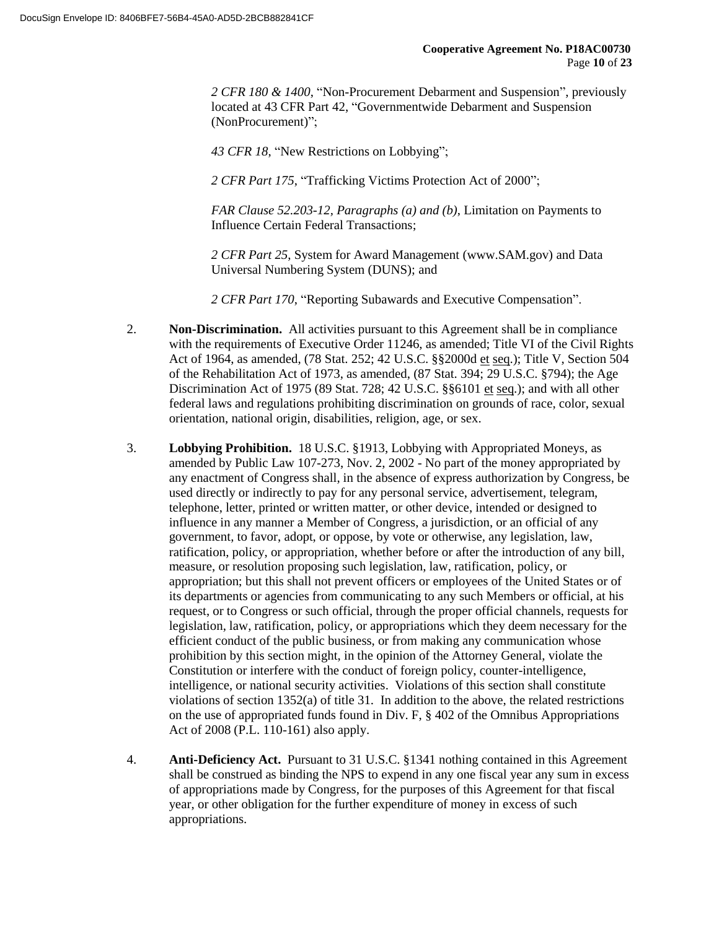*2 CFR 180 & 1400*, "Non-Procurement Debarment and Suspension", previously located at 43 CFR Part 42, "Governmentwide Debarment and Suspension (NonProcurement)";

*43 CFR 18*, "New Restrictions on Lobbying";

*2 CFR Part 175*, "Trafficking Victims Protection Act of 2000";

*FAR Clause 52.203-12, Paragraphs (a) and (b)*, Limitation on Payments to Influence Certain Federal Transactions;

*2 CFR Part 25*, System for Award Management (www.SAM.gov) and Data Universal Numbering System (DUNS); and

*2 CFR Part 170*, "Reporting Subawards and Executive Compensation".

- 2. **Non-Discrimination.** All activities pursuant to this Agreement shall be in compliance with the requirements of Executive Order 11246, as amended; Title VI of the Civil Rights Act of 1964, as amended, (78 Stat. 252; 42 U.S.C. §§2000d et seq.); Title V, Section 504 of the Rehabilitation Act of 1973, as amended, (87 Stat. 394; 29 U.S.C. §794); the Age Discrimination Act of 1975 (89 Stat. 728; 42 U.S.C. §§6101 et seq.); and with all other federal laws and regulations prohibiting discrimination on grounds of race, color, sexual orientation, national origin, disabilities, religion, age, or sex.
- 3. **Lobbying Prohibition.** 18 U.S.C. §1913, Lobbying with Appropriated Moneys, as amended by Public Law 107-273, Nov. 2, 2002 - No part of the money appropriated by any enactment of Congress shall, in the absence of express authorization by Congress, be used directly or indirectly to pay for any personal service, advertisement, telegram, telephone, letter, printed or written matter, or other device, intended or designed to influence in any manner a Member of Congress, a jurisdiction, or an official of any government, to favor, adopt, or oppose, by vote or otherwise, any legislation, law, ratification, policy, or appropriation, whether before or after the introduction of any bill, measure, or resolution proposing such legislation, law, ratification, policy, or appropriation; but this shall not prevent officers or employees of the United States or of its departments or agencies from communicating to any such Members or official, at his request, or to Congress or such official, through the proper official channels, requests for legislation, law, ratification, policy, or appropriations which they deem necessary for the efficient conduct of the public business, or from making any communication whose prohibition by this section might, in the opinion of the Attorney General, violate the Constitution or interfere with the conduct of foreign policy, counter-intelligence, intelligence, or national security activities. Violations of this section shall constitute violations of section 1352(a) of title 31. In addition to the above, the related restrictions on the use of appropriated funds found in Div. F, § 402 of the Omnibus Appropriations Act of 2008 (P.L. 110-161) also apply.
- 4. **Anti-Deficiency Act.** Pursuant to 31 U.S.C. §1341 nothing contained in this Agreement shall be construed as binding the NPS to expend in any one fiscal year any sum in excess of appropriations made by Congress, for the purposes of this Agreement for that fiscal year, or other obligation for the further expenditure of money in excess of such appropriations.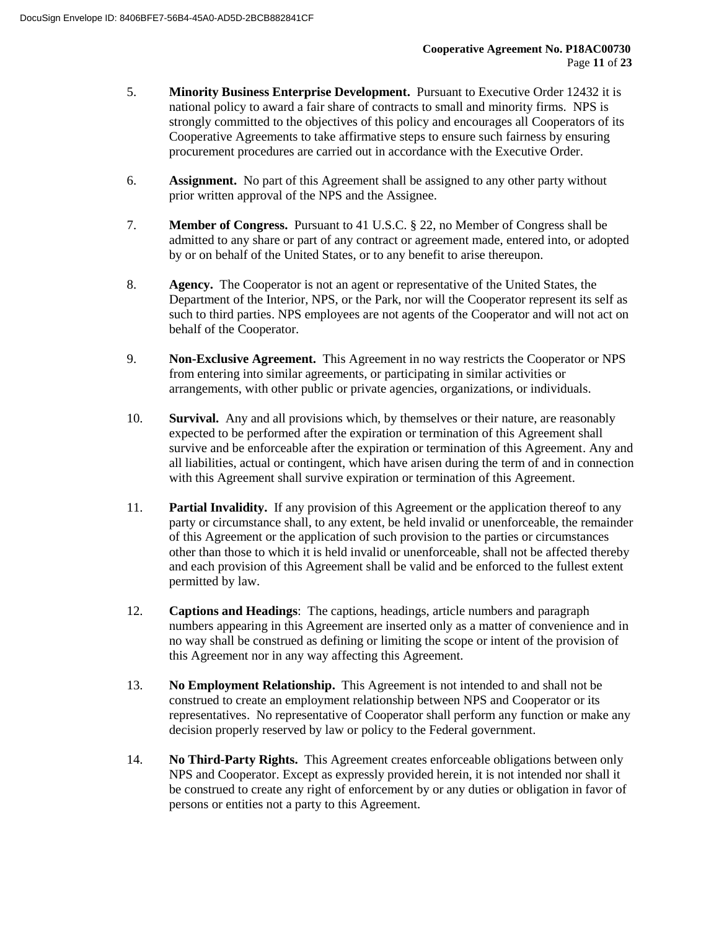- 5. **Minority Business Enterprise Development.** Pursuant to Executive Order 12432 it is national policy to award a fair share of contracts to small and minority firms. NPS is strongly committed to the objectives of this policy and encourages all Cooperators of its Cooperative Agreements to take affirmative steps to ensure such fairness by ensuring procurement procedures are carried out in accordance with the Executive Order.
- 6. **Assignment.** No part of this Agreement shall be assigned to any other party without prior written approval of the NPS and the Assignee.
- 7. **Member of Congress.** Pursuant to 41 U.S.C. § 22, no Member of Congress shall be admitted to any share or part of any contract or agreement made, entered into, or adopted by or on behalf of the United States, or to any benefit to arise thereupon.
- 8. **Agency.** The Cooperator is not an agent or representative of the United States, the Department of the Interior, NPS, or the Park, nor will the Cooperator represent its self as such to third parties. NPS employees are not agents of the Cooperator and will not act on behalf of the Cooperator.
- 9. **Non-Exclusive Agreement.** This Agreement in no way restricts the Cooperator or NPS from entering into similar agreements, or participating in similar activities or arrangements, with other public or private agencies, organizations, or individuals.
- 10. **Survival.** Any and all provisions which, by themselves or their nature, are reasonably expected to be performed after the expiration or termination of this Agreement shall survive and be enforceable after the expiration or termination of this Agreement. Any and all liabilities, actual or contingent, which have arisen during the term of and in connection with this Agreement shall survive expiration or termination of this Agreement.
- 11. **Partial Invalidity.** If any provision of this Agreement or the application thereof to any party or circumstance shall, to any extent, be held invalid or unenforceable, the remainder of this Agreement or the application of such provision to the parties or circumstances other than those to which it is held invalid or unenforceable, shall not be affected thereby and each provision of this Agreement shall be valid and be enforced to the fullest extent permitted by law.
- 12. **Captions and Headings**: The captions, headings, article numbers and paragraph numbers appearing in this Agreement are inserted only as a matter of convenience and in no way shall be construed as defining or limiting the scope or intent of the provision of this Agreement nor in any way affecting this Agreement.
- 13. **No Employment Relationship.** This Agreement is not intended to and shall not be construed to create an employment relationship between NPS and Cooperator or its representatives. No representative of Cooperator shall perform any function or make any decision properly reserved by law or policy to the Federal government.
- 14. **No Third-Party Rights.** This Agreement creates enforceable obligations between only NPS and Cooperator. Except as expressly provided herein, it is not intended nor shall it be construed to create any right of enforcement by or any duties or obligation in favor of persons or entities not a party to this Agreement.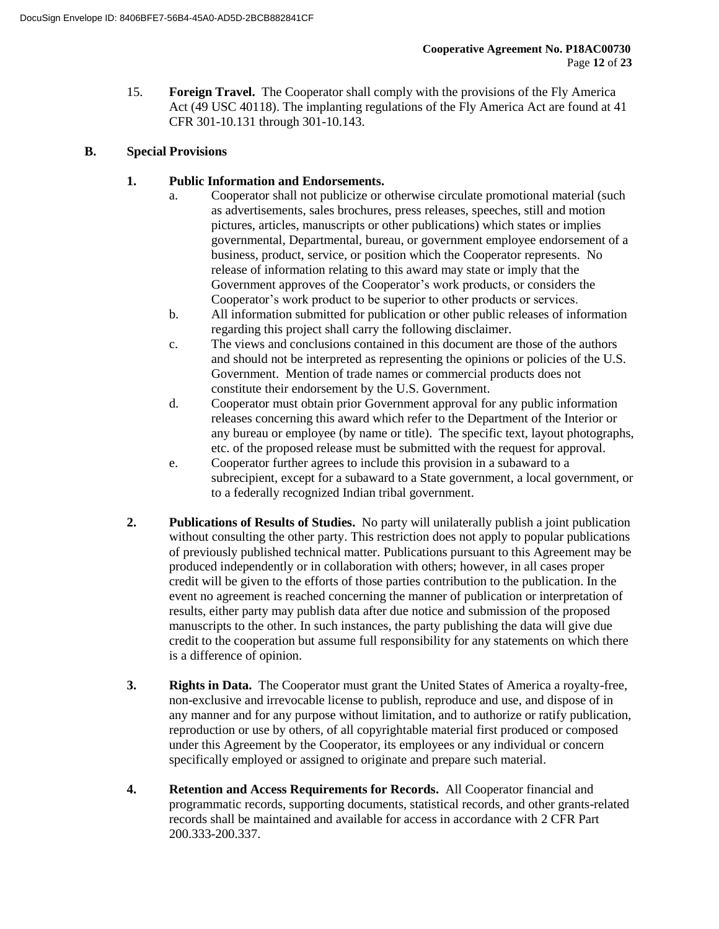15. **Foreign Travel.** The Cooperator shall comply with the provisions of the Fly America Act (49 USC 40118). The implanting regulations of the Fly America Act are found at 41 CFR 301-10.131 through 301-10.143.

### **B. Special Provisions**

### **1. Public Information and Endorsements.**

- a. Cooperator shall not publicize or otherwise circulate promotional material (such as advertisements, sales brochures, press releases, speeches, still and motion pictures, articles, manuscripts or other publications) which states or implies governmental, Departmental, bureau, or government employee endorsement of a business, product, service, or position which the Cooperator represents. No release of information relating to this award may state or imply that the Government approves of the Cooperator's work products, or considers the Cooperator's work product to be superior to other products or services.
- b. All information submitted for publication or other public releases of information regarding this project shall carry the following disclaimer.
- c. The views and conclusions contained in this document are those of the authors and should not be interpreted as representing the opinions or policies of the U.S. Government. Mention of trade names or commercial products does not constitute their endorsement by the U.S. Government.
- d. Cooperator must obtain prior Government approval for any public information releases concerning this award which refer to the Department of the Interior or any bureau or employee (by name or title). The specific text, layout photographs, etc. of the proposed release must be submitted with the request for approval.
- e. Cooperator further agrees to include this provision in a subaward to a subrecipient, except for a subaward to a State government, a local government, or to a federally recognized Indian tribal government.
- **2. Publications of Results of Studies.** No party will unilaterally publish a joint publication without consulting the other party. This restriction does not apply to popular publications of previously published technical matter. Publications pursuant to this Agreement may be produced independently or in collaboration with others; however, in all cases proper credit will be given to the efforts of those parties contribution to the publication. In the event no agreement is reached concerning the manner of publication or interpretation of results, either party may publish data after due notice and submission of the proposed manuscripts to the other. In such instances, the party publishing the data will give due credit to the cooperation but assume full responsibility for any statements on which there is a difference of opinion.
- **3. Rights in Data.** The Cooperator must grant the United States of America a royalty-free, non-exclusive and irrevocable license to publish, reproduce and use, and dispose of in any manner and for any purpose without limitation, and to authorize or ratify publication, reproduction or use by others, of all copyrightable material first produced or composed under this Agreement by the Cooperator, its employees or any individual or concern specifically employed or assigned to originate and prepare such material.
- **4. Retention and Access Requirements for Records.** All Cooperator financial and programmatic records, supporting documents, statistical records, and other grants-related records shall be maintained and available for access in accordance with 2 CFR Part 200.333-200.337.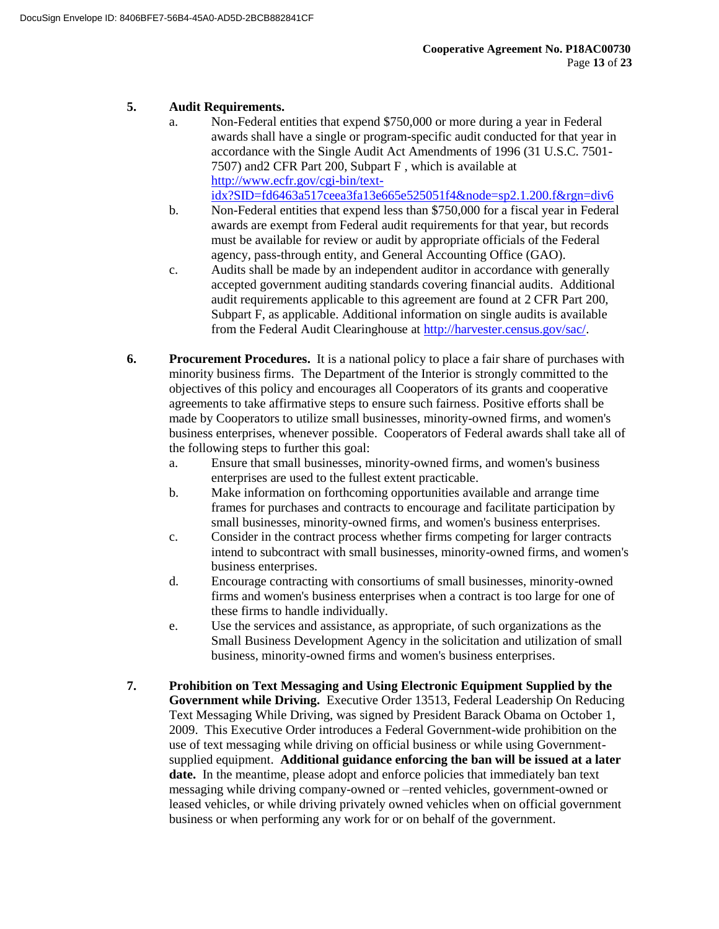### **5. Audit Requirements.**

- a. Non-Federal entities that expend \$750,000 or more during a year in Federal awards shall have a single or program-specific audit conducted for that year in accordance with the Single Audit Act Amendments of 1996 (31 U.S.C. 7501- 7507) and2 CFR Part 200, Subpart F , which is available at http://www.ecfr.gov/cgi-bin/textidx?SID=fd6463a517ceea3fa13e665e525051f4&node=sp2.1.200.f&rgn=div6
- b. Non-Federal entities that expend less than \$750,000 for a fiscal year in Federal awards are exempt from Federal audit requirements for that year, but records must be available for review or audit by appropriate officials of the Federal agency, pass-through entity, and General Accounting Office (GAO).
- c. Audits shall be made by an independent auditor in accordance with generally accepted government auditing standards covering financial audits. Additional audit requirements applicable to this agreement are found at 2 CFR Part 200, Subpart F, as applicable. Additional information on single audits is available from the Federal Audit Clearinghouse at http://harvester.census.gov/sac/.
- **6. Procurement Procedures.** It is a national policy to place a fair share of purchases with minority business firms. The Department of the Interior is strongly committed to the objectives of this policy and encourages all Cooperators of its grants and cooperative agreements to take affirmative steps to ensure such fairness. Positive efforts shall be made by Cooperators to utilize small businesses, minority-owned firms, and women's business enterprises, whenever possible. Cooperators of Federal awards shall take all of the following steps to further this goal:
	- a. Ensure that small businesses, minority-owned firms, and women's business enterprises are used to the fullest extent practicable.
	- b. Make information on forthcoming opportunities available and arrange time frames for purchases and contracts to encourage and facilitate participation by small businesses, minority-owned firms, and women's business enterprises.
	- c. Consider in the contract process whether firms competing for larger contracts intend to subcontract with small businesses, minority-owned firms, and women's business enterprises.
	- d. Encourage contracting with consortiums of small businesses, minority-owned firms and women's business enterprises when a contract is too large for one of these firms to handle individually.
	- e. Use the services and assistance, as appropriate, of such organizations as the Small Business Development Agency in the solicitation and utilization of small business, minority-owned firms and women's business enterprises.
- **7. Prohibition on Text Messaging and Using Electronic Equipment Supplied by the Government while Driving.** Executive Order 13513, Federal Leadership On Reducing Text Messaging While Driving, was signed by President Barack Obama on October 1, 2009. This Executive Order introduces a Federal Government-wide prohibition on the use of text messaging while driving on official business or while using Governmentsupplied equipment. **Additional guidance enforcing the ban will be issued at a later date.** In the meantime, please adopt and enforce policies that immediately ban text messaging while driving company-owned or –rented vehicles, government-owned or leased vehicles, or while driving privately owned vehicles when on official government business or when performing any work for or on behalf of the government.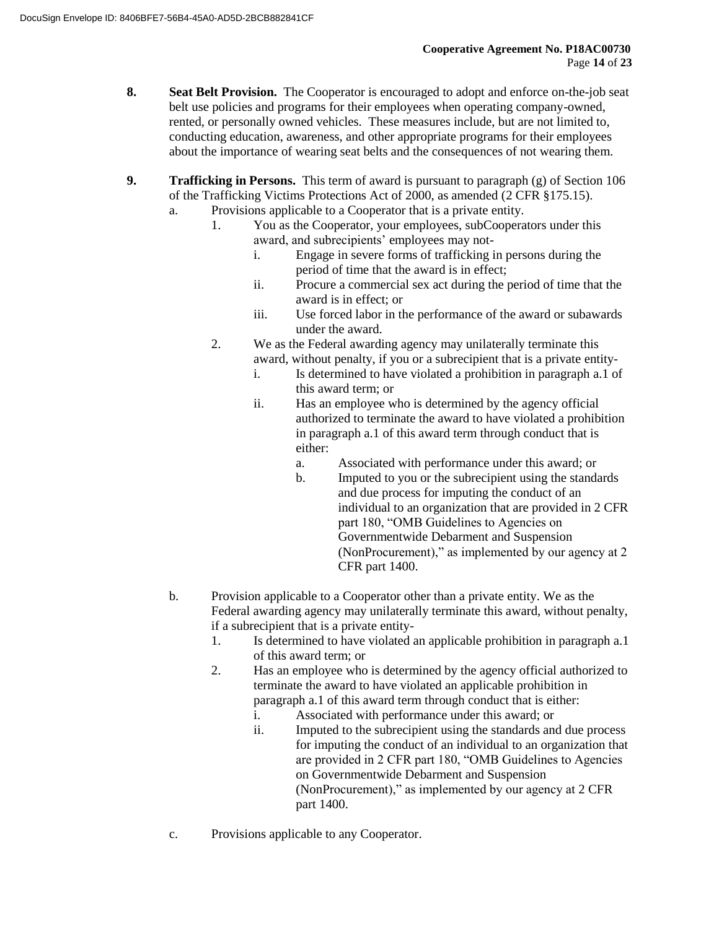- **8. Seat Belt Provision.** The Cooperator is encouraged to adopt and enforce on-the-job seat belt use policies and programs for their employees when operating company-owned, rented, or personally owned vehicles. These measures include, but are not limited to, conducting education, awareness, and other appropriate programs for their employees about the importance of wearing seat belts and the consequences of not wearing them.
- **9. Trafficking in Persons.** This term of award is pursuant to paragraph (g) of Section 106 of the Trafficking Victims Protections Act of 2000, as amended (2 CFR §175.15).
	- a. Provisions applicable to a Cooperator that is a private entity.
		- 1. You as the Cooperator, your employees, subCooperators under this award, and subrecipients' employees may not
			- i. Engage in severe forms of trafficking in persons during the period of time that the award is in effect;
			- ii. Procure a commercial sex act during the period of time that the award is in effect; or
			- iii. Use forced labor in the performance of the award or subawards under the award.
		- 2. We as the Federal awarding agency may unilaterally terminate this award, without penalty, if you or a subrecipient that is a private entity
			- i. Is determined to have violated a prohibition in paragraph a.1 of this award term; or
			- ii. Has an employee who is determined by the agency official authorized to terminate the award to have violated a prohibition in paragraph a.1 of this award term through conduct that is either:
				- a. Associated with performance under this award; or
				- b. Imputed to you or the subrecipient using the standards and due process for imputing the conduct of an individual to an organization that are provided in 2 CFR part 180, "OMB Guidelines to Agencies on Governmentwide Debarment and Suspension (NonProcurement)," as implemented by our agency at 2 CFR part 1400.
	- b. Provision applicable to a Cooperator other than a private entity. We as the Federal awarding agency may unilaterally terminate this award, without penalty, if a subrecipient that is a private entity-
		- 1. Is determined to have violated an applicable prohibition in paragraph a.1 of this award term; or
		- 2. Has an employee who is determined by the agency official authorized to terminate the award to have violated an applicable prohibition in paragraph a.1 of this award term through conduct that is either:
			- i. Associated with performance under this award; or
			- ii. Imputed to the subrecipient using the standards and due process for imputing the conduct of an individual to an organization that are provided in 2 CFR part 180, "OMB Guidelines to Agencies on Governmentwide Debarment and Suspension (NonProcurement)," as implemented by our agency at 2 CFR part 1400.
	- c. Provisions applicable to any Cooperator.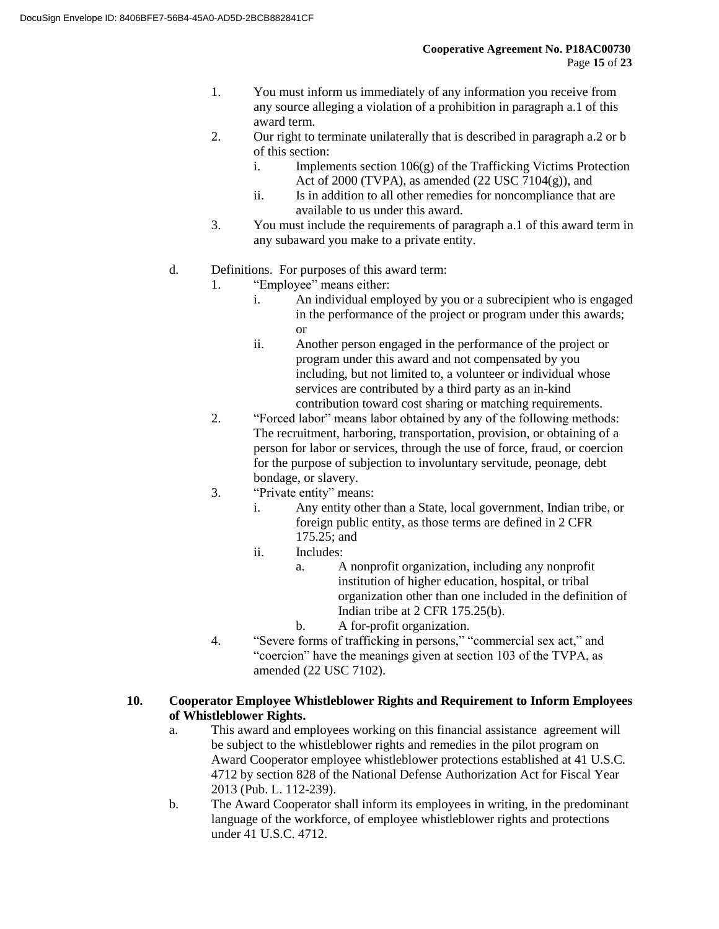- 1. You must inform us immediately of any information you receive from any source alleging a violation of a prohibition in paragraph a.1 of this award term.
- 2. Our right to terminate unilaterally that is described in paragraph a.2 or b of this section:
	- i. Implements section  $106(g)$  of the Trafficking Victims Protection Act of 2000 (TVPA), as amended  $(22$  USC  $7104(g)$ ), and
	- ii. Is in addition to all other remedies for noncompliance that are available to us under this award.
- 3. You must include the requirements of paragraph a.1 of this award term in any subaward you make to a private entity.
- d. Definitions. For purposes of this award term:
	- 1. "Employee" means either:
		- i. An individual employed by you or a subrecipient who is engaged in the performance of the project or program under this awards; or
		- ii. Another person engaged in the performance of the project or program under this award and not compensated by you including, but not limited to, a volunteer or individual whose services are contributed by a third party as an in-kind contribution toward cost sharing or matching requirements.
	- 2. "Forced labor" means labor obtained by any of the following methods: The recruitment, harboring, transportation, provision, or obtaining of a person for labor or services, through the use of force, fraud, or coercion for the purpose of subjection to involuntary servitude, peonage, debt bondage, or slavery.
	- 3. "Private entity" means:
		- i. Any entity other than a State, local government, Indian tribe, or foreign public entity, as those terms are defined in 2 CFR 175.25; and
		- ii. Includes:
			- a. A nonprofit organization, including any nonprofit institution of higher education, hospital, or tribal organization other than one included in the definition of Indian tribe at 2 CFR 175.25(b).
			- b. A for-profit organization.
	- 4. "Severe forms of trafficking in persons," "commercial sex act," and "coercion" have the meanings given at section 103 of the TVPA, as amended (22 USC 7102).

#### **10. Cooperator Employee Whistleblower Rights and Requirement to Inform Employees of Whistleblower Rights.**

- a. This award and employees working on this financial assistance agreement will be subject to the whistleblower rights and remedies in the pilot program on Award Cooperator employee whistleblower protections established at 41 U.S.C. 4712 by section 828 of the National Defense Authorization Act for Fiscal Year 2013 (Pub. L. 112-239).
- b. The Award Cooperator shall inform its employees in writing, in the predominant language of the workforce, of employee whistleblower rights and protections under 41 U.S.C. 4712.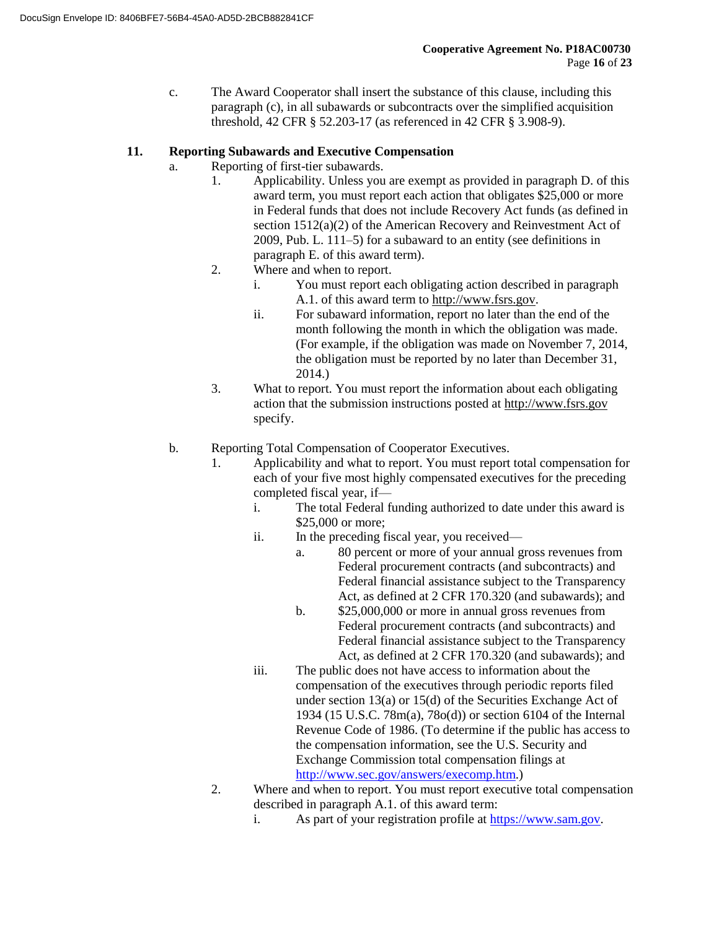c. The Award Cooperator shall insert the substance of this clause, including this paragraph (c), in all subawards or subcontracts over the simplified acquisition threshold, 42 CFR § 52.203-17 (as referenced in 42 CFR § 3.908-9).

## **11. Reporting Subawards and Executive Compensation**

- a. Reporting of first-tier subawards.
	- 1. Applicability. Unless you are exempt as provided in paragraph D. of this award term, you must report each action that obligates \$25,000 or more in Federal funds that does not include Recovery Act funds (as defined in section 1512(a)(2) of the American Recovery and Reinvestment Act of 2009, Pub. L. 111–5) for a subaward to an entity (see definitions in paragraph E. of this award term).
	- 2. Where and when to report.
		- i. You must report each obligating action described in paragraph A.1. of this award term to http://www.fsrs.gov.
		- ii. For subaward information, report no later than the end of the month following the month in which the obligation was made. (For example, if the obligation was made on November 7, 2014, the obligation must be reported by no later than December 31, 2014.)
	- 3. What to report. You must report the information about each obligating action that the submission instructions posted at http://www.fsrs.gov specify.
- b. Reporting Total Compensation of Cooperator Executives.
	- 1. Applicability and what to report. You must report total compensation for each of your five most highly compensated executives for the preceding completed fiscal year, if
		- i. The total Federal funding authorized to date under this award is \$25,000 or more;
		- ii. In the preceding fiscal year, you received
			- a. 80 percent or more of your annual gross revenues from Federal procurement contracts (and subcontracts) and Federal financial assistance subject to the Transparency Act, as defined at 2 CFR 170.320 (and subawards); and
			- b. \$25,000,000 or more in annual gross revenues from Federal procurement contracts (and subcontracts) and Federal financial assistance subject to the Transparency Act, as defined at 2 CFR 170.320 (and subawards); and
		- iii. The public does not have access to information about the compensation of the executives through periodic reports filed under section 13(a) or 15(d) of the Securities Exchange Act of 1934 (15 U.S.C. 78m(a), 78o(d)) or section 6104 of the Internal Revenue Code of 1986. (To determine if the public has access to the compensation information, see the U.S. Security and Exchange Commission total compensation filings at http://www.sec.gov/answers/execomp.htm.)
	- 2. Where and when to report. You must report executive total compensation described in paragraph A.1. of this award term:
		- i. As part of your registration profile at https://www.sam.gov.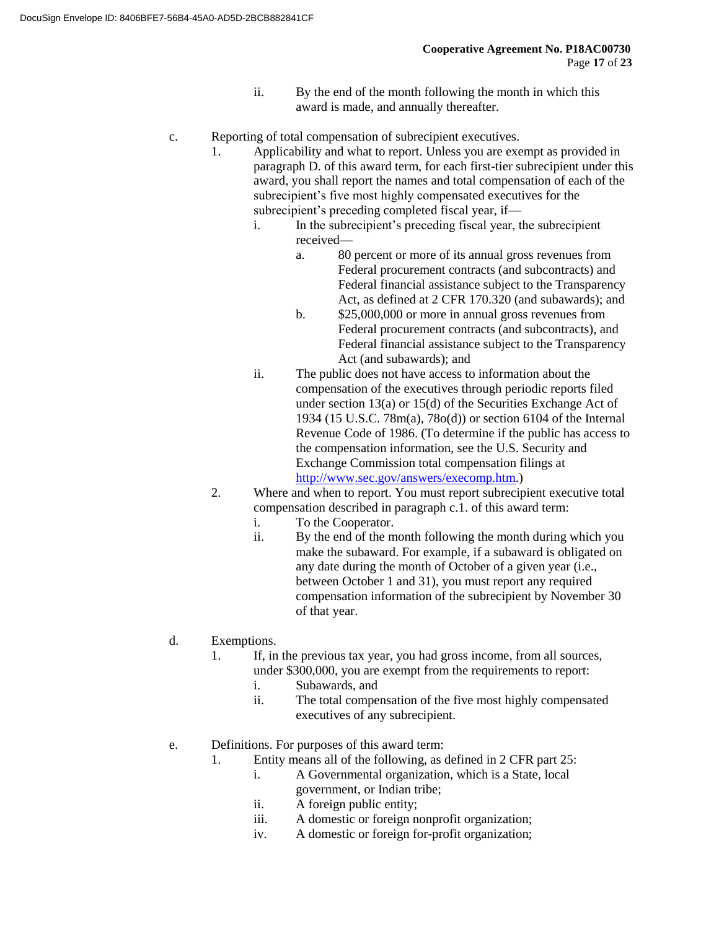- ii. By the end of the month following the month in which this award is made, and annually thereafter.
- c. Reporting of total compensation of subrecipient executives.
	- 1. Applicability and what to report. Unless you are exempt as provided in paragraph D. of this award term, for each first-tier subrecipient under this award, you shall report the names and total compensation of each of the subrecipient's five most highly compensated executives for the subrecipient's preceding completed fiscal year, if
		- i. In the subrecipient's preceding fiscal year, the subrecipient received
			- a. 80 percent or more of its annual gross revenues from Federal procurement contracts (and subcontracts) and Federal financial assistance subject to the Transparency Act, as defined at 2 CFR 170.320 (and subawards); and
			- b. \$25,000,000 or more in annual gross revenues from Federal procurement contracts (and subcontracts), and Federal financial assistance subject to the Transparency Act (and subawards); and
		- ii. The public does not have access to information about the compensation of the executives through periodic reports filed under section 13(a) or 15(d) of the Securities Exchange Act of 1934 (15 U.S.C. 78m(a), 78o(d)) or section 6104 of the Internal Revenue Code of 1986. (To determine if the public has access to the compensation information, see the U.S. Security and Exchange Commission total compensation filings at http://www.sec.gov/answers/execomp.htm.)
	- 2. Where and when to report. You must report subrecipient executive total compensation described in paragraph c.1. of this award term:
		- i. To the Cooperator.
		- ii. By the end of the month following the month during which you make the subaward. For example, if a subaward is obligated on any date during the month of October of a given year (i.e., between October 1 and 31), you must report any required compensation information of the subrecipient by November 30 of that year.
- d. Exemptions.
	- 1. If, in the previous tax year, you had gross income, from all sources, under \$300,000, you are exempt from the requirements to report:
		- i. Subawards, and
		- ii. The total compensation of the five most highly compensated executives of any subrecipient.
- e. Definitions. For purposes of this award term:
	- 1. Entity means all of the following, as defined in 2 CFR part 25:
		- i. A Governmental organization, which is a State, local government, or Indian tribe;
		- ii. A foreign public entity;
		- iii. A domestic or foreign nonprofit organization;
		- iv. A domestic or foreign for-profit organization;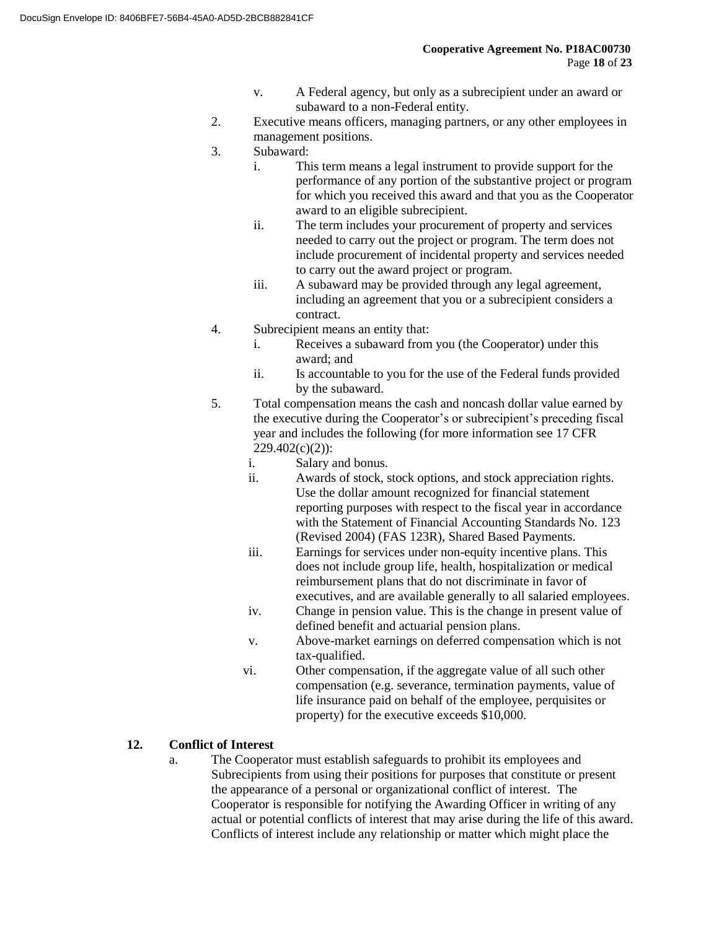- v. A Federal agency, but only as a subrecipient under an award or subaward to a non-Federal entity.
- 2. Executive means officers, managing partners, or any other employees in management positions.
- 3. Subaward:
	- i. This term means a legal instrument to provide support for the performance of any portion of the substantive project or program for which you received this award and that you as the Cooperator award to an eligible subrecipient.
	- ii. The term includes your procurement of property and services needed to carry out the project or program. The term does not include procurement of incidental property and services needed to carry out the award project or program.
	- iii. A subaward may be provided through any legal agreement, including an agreement that you or a subrecipient considers a contract.
- 4. Subrecipient means an entity that:
	- i. Receives a subaward from you (the Cooperator) under this award; and
	- ii. Is accountable to you for the use of the Federal funds provided by the subaward.
- 5. Total compensation means the cash and noncash dollar value earned by the executive during the Cooperator's or subrecipient's preceding fiscal year and includes the following (for more information see 17 CFR  $229.402(c)(2)$ :
	- i. Salary and bonus.
	- ii. Awards of stock, stock options, and stock appreciation rights. Use the dollar amount recognized for financial statement reporting purposes with respect to the fiscal year in accordance with the Statement of Financial Accounting Standards No. 123 (Revised 2004) (FAS 123R), Shared Based Payments.
	- iii. Earnings for services under non-equity incentive plans. This does not include group life, health, hospitalization or medical reimbursement plans that do not discriminate in favor of executives, and are available generally to all salaried employees.
	- iv. Change in pension value. This is the change in present value of defined benefit and actuarial pension plans.
	- v. Above-market earnings on deferred compensation which is not tax-qualified.
	- vi. Other compensation, if the aggregate value of all such other compensation (e.g. severance, termination payments, value of life insurance paid on behalf of the employee, perquisites or property) for the executive exceeds \$10,000.

## **12. Conflict of Interest**

a. The Cooperator must establish safeguards to prohibit its employees and Subrecipients from using their positions for purposes that constitute or present the appearance of a personal or organizational conflict of interest. The Cooperator is responsible for notifying the Awarding Officer in writing of any actual or potential conflicts of interest that may arise during the life of this award. Conflicts of interest include any relationship or matter which might place the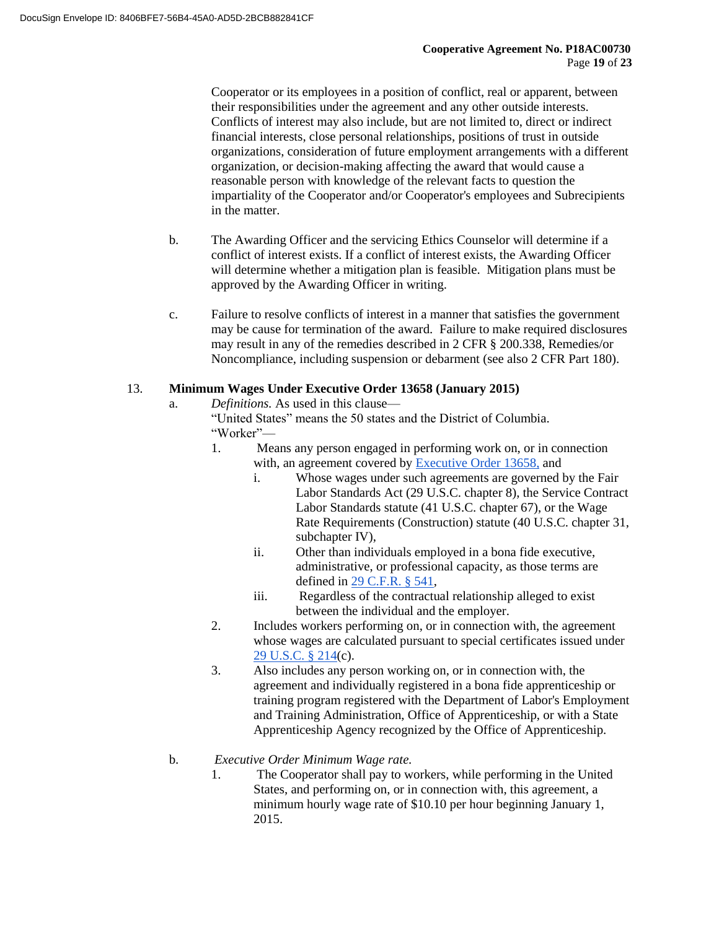Cooperator or its employees in a position of conflict, real or apparent, between their responsibilities under the agreement and any other outside interests. Conflicts of interest may also include, but are not limited to, direct or indirect financial interests, close personal relationships, positions of trust in outside organizations, consideration of future employment arrangements with a different organization, or decision-making affecting the award that would cause a reasonable person with knowledge of the relevant facts to question the impartiality of the Cooperator and/or Cooperator's employees and Subrecipients in the matter.

- b. The Awarding Officer and the servicing Ethics Counselor will determine if a conflict of interest exists. If a conflict of interest exists, the Awarding Officer will determine whether a mitigation plan is feasible. Mitigation plans must be approved by the Awarding Officer in writing.
- c. Failure to resolve conflicts of interest in a manner that satisfies the government may be cause for termination of the award. Failure to make required disclosures may result in any of the remedies described in 2 CFR § 200.338, Remedies/or Noncompliance, including suspension or debarment (see also 2 CFR Part 180).

### 13. **Minimum Wages Under Executive Order 13658 (January 2015)**

a. *Definitions.* As used in this clause—

"United States" means the 50 states and the District of Columbia. "Worker"—

- 1. Means any person engaged in performing work on, or in connection with, an agreement covered by Executive Order 13658, and
	- i. Whose wages under such agreements are governed by the Fair Labor Standards Act (29 U.S.C. chapter 8), the Service Contract Labor Standards statute (41 U.S.C. chapter 67), or the Wage Rate Requirements (Construction) statute (40 U.S.C. chapter 31, subchapter IV).
	- ii. Other than individuals employed in a bona fide executive, administrative, or professional capacity, as those terms are defined in 29 C.F.R. § 541,
	- iii. Regardless of the contractual relationship alleged to exist between the individual and the employer.
- 2. Includes workers performing on, or in connection with, the agreement whose wages are calculated pursuant to special certificates issued under 29 U.S.C. § 214(c).
- 3. Also includes any person working on, or in connection with, the agreement and individually registered in a bona fide apprenticeship or training program registered with the Department of Labor's Employment and Training Administration, Office of Apprenticeship, or with a State Apprenticeship Agency recognized by the Office of Apprenticeship.

#### b. *Executive Order Minimum Wage rate.*

1. The Cooperator shall pay to workers, while performing in the United States, and performing on, or in connection with, this agreement, a minimum hourly wage rate of \$10.10 per hour beginning January 1, 2015.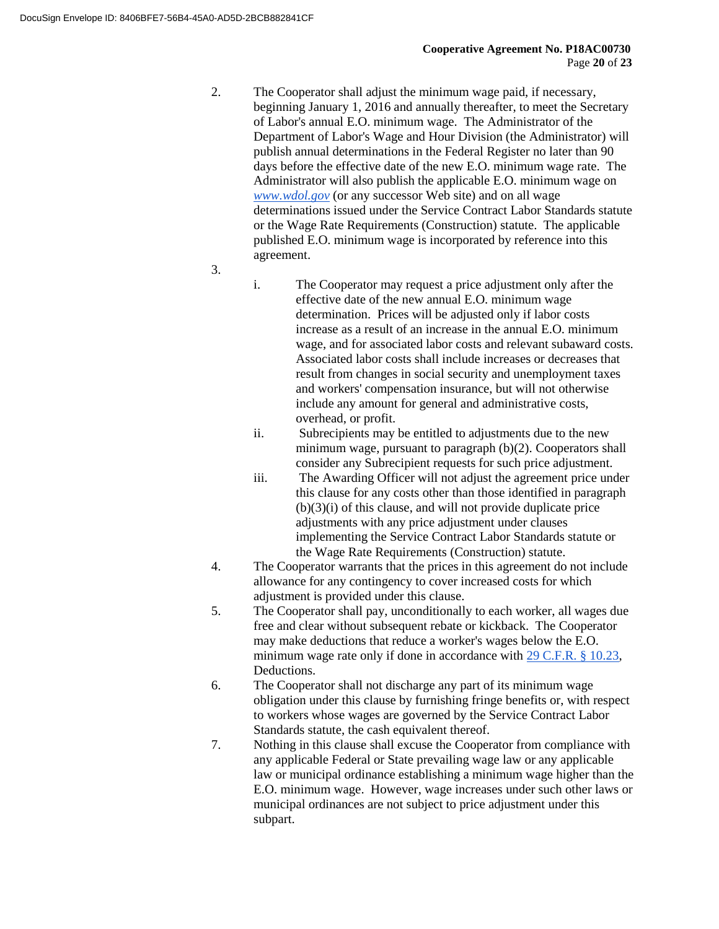- 2. The Cooperator shall adjust the minimum wage paid, if necessary, beginning January 1, 2016 and annually thereafter, to meet the Secretary of Labor's annual E.O. minimum wage. The Administrator of the Department of Labor's Wage and Hour Division (the Administrator) will publish annual determinations in the Federal Register no later than 90 days before the effective date of the new E.O. minimum wage rate. The Administrator will also publish the applicable E.O. minimum wage on *www.wdol.gov* (or any successor Web site) and on all wage determinations issued under the Service Contract Labor Standards statute or the Wage Rate Requirements (Construction) statute. The applicable published E.O. minimum wage is incorporated by reference into this agreement.
- 3.
- i. The Cooperator may request a price adjustment only after the effective date of the new annual E.O. minimum wage determination. Prices will be adjusted only if labor costs increase as a result of an increase in the annual E.O. minimum wage, and for associated labor costs and relevant subaward costs. Associated labor costs shall include increases or decreases that result from changes in social security and unemployment taxes and workers' compensation insurance, but will not otherwise include any amount for general and administrative costs, overhead, or profit.
- ii. Subrecipients may be entitled to adjustments due to the new minimum wage, pursuant to paragraph (b)(2). Cooperators shall consider any Subrecipient requests for such price adjustment.
- iii. The Awarding Officer will not adjust the agreement price under this clause for any costs other than those identified in paragraph (b)(3)(i) of this clause, and will not provide duplicate price adjustments with any price adjustment under clauses implementing the Service Contract Labor Standards statute or the Wage Rate Requirements (Construction) statute.
- 4. The Cooperator warrants that the prices in this agreement do not include allowance for any contingency to cover increased costs for which adjustment is provided under this clause.
- 5. The Cooperator shall pay, unconditionally to each worker, all wages due free and clear without subsequent rebate or kickback. The Cooperator may make deductions that reduce a worker's wages below the E.O. minimum wage rate only if done in accordance with 29 C.F.R. § 10.23, Deductions.
- 6. The Cooperator shall not discharge any part of its minimum wage obligation under this clause by furnishing fringe benefits or, with respect to workers whose wages are governed by the Service Contract Labor Standards statute, the cash equivalent thereof.
- 7. Nothing in this clause shall excuse the Cooperator from compliance with any applicable Federal or State prevailing wage law or any applicable law or municipal ordinance establishing a minimum wage higher than the E.O. minimum wage. However, wage increases under such other laws or municipal ordinances are not subject to price adjustment under this subpart.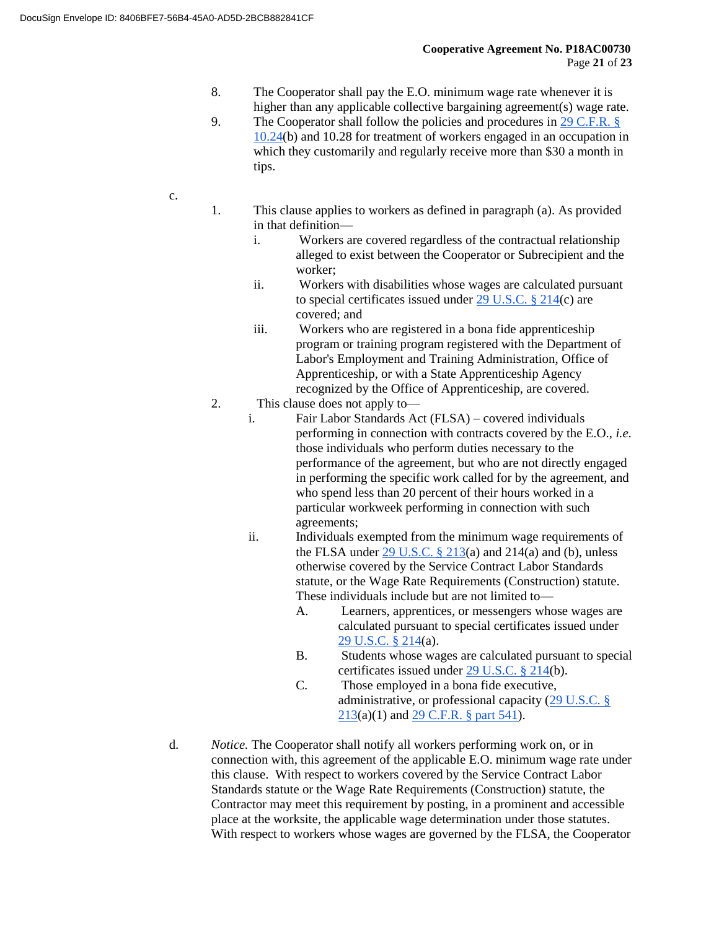- 8. The Cooperator shall pay the E.O. minimum wage rate whenever it is higher than any applicable collective bargaining agreement(s) wage rate.
- 9. The Cooperator shall follow the policies and procedures in 29 C.F.R. § 10.24(b) and 10.28 for treatment of workers engaged in an occupation in which they customarily and regularly receive more than \$30 a month in tips.
- c.
- 1. This clause applies to workers as defined in paragraph (a). As provided in that definition
	- i. Workers are covered regardless of the contractual relationship alleged to exist between the Cooperator or Subrecipient and the worker;
	- ii. Workers with disabilities whose wages are calculated pursuant to special certificates issued under 29 U.S.C. § 214(c) are covered; and
	- iii. Workers who are registered in a bona fide apprenticeship program or training program registered with the Department of Labor's Employment and Training Administration, Office of Apprenticeship, or with a State Apprenticeship Agency recognized by the Office of Apprenticeship, are covered.
- 2. This clause does not apply to
	- i. Fair Labor Standards Act (FLSA) covered individuals performing in connection with contracts covered by the E.O., *i.e.* those individuals who perform duties necessary to the performance of the agreement, but who are not directly engaged in performing the specific work called for by the agreement, and who spend less than 20 percent of their hours worked in a particular workweek performing in connection with such agreements;
	- ii. Individuals exempted from the minimum wage requirements of the FLSA under  $29$  U.S.C. § 213(a) and 214(a) and (b), unless otherwise covered by the Service Contract Labor Standards statute, or the Wage Rate Requirements (Construction) statute. These individuals include but are not limited to—
		- A. Learners, apprentices, or messengers whose wages are calculated pursuant to special certificates issued under 29 U.S.C. § 214(a).
		- B. Students whose wages are calculated pursuant to special certificates issued under 29 U.S.C. § 214(b).
		- C. Those employed in a bona fide executive, administrative, or professional capacity (29 U.S.C. § 213(a)(1) and 29 C.F.R. § part 541).
- d. *Notice.* The Cooperator shall notify all workers performing work on, or in connection with, this agreement of the applicable E.O. minimum wage rate under this clause. With respect to workers covered by the Service Contract Labor Standards statute or the Wage Rate Requirements (Construction) statute, the Contractor may meet this requirement by posting, in a prominent and accessible place at the worksite, the applicable wage determination under those statutes. With respect to workers whose wages are governed by the FLSA, the Cooperator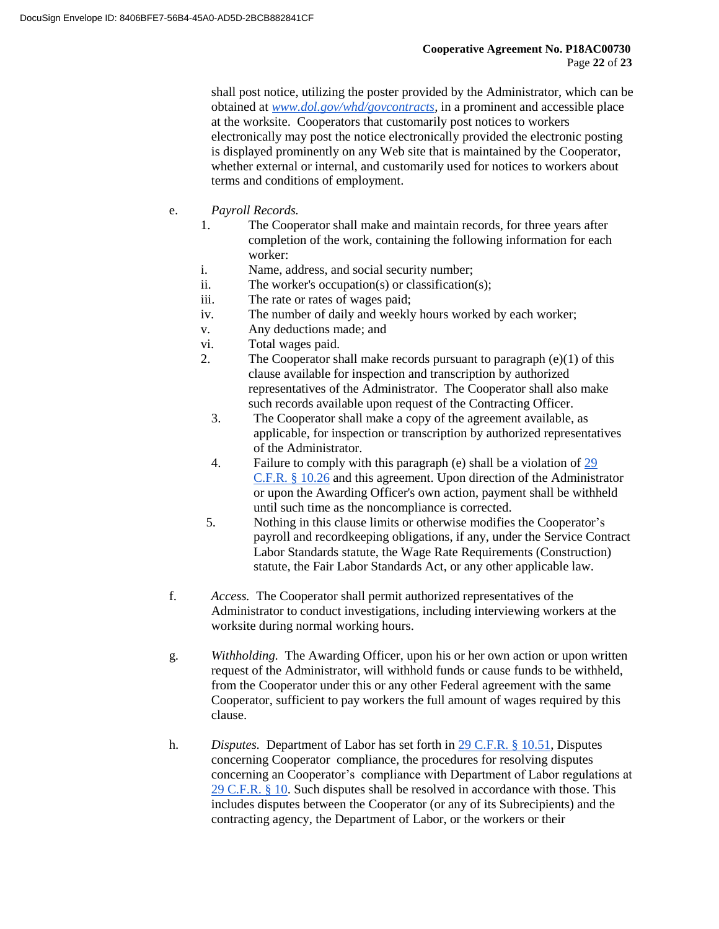shall post notice, utilizing the poster provided by the Administrator, which can be obtained at *www.dol.gov/whd/govcontracts,* in a prominent and accessible place at the worksite. Cooperators that customarily post notices to workers electronically may post the notice electronically provided the electronic posting is displayed prominently on any Web site that is maintained by the Cooperator, whether external or internal, and customarily used for notices to workers about terms and conditions of employment.

- e. *Payroll Records.*
	- 1. The Cooperator shall make and maintain records, for three years after completion of the work, containing the following information for each worker:
	- i. Name, address, and social security number;
	- ii. The worker's occupation(s) or classification(s);
	- iii. The rate or rates of wages paid;
	- iv. The number of daily and weekly hours worked by each worker;
	- v. Any deductions made; and
	- vi. Total wages paid.
	- 2. The Cooperator shall make records pursuant to paragraph  $(e)(1)$  of this clause available for inspection and transcription by authorized representatives of the Administrator. The Cooperator shall also make such records available upon request of the Contracting Officer.
		- 3. The Cooperator shall make a copy of the agreement available, as applicable, for inspection or transcription by authorized representatives of the Administrator.
		- 4. Failure to comply with this paragraph (e) shall be a violation of 29 C.F.R. § 10.26 and this agreement. Upon direction of the Administrator or upon the Awarding Officer's own action, payment shall be withheld until such time as the noncompliance is corrected.
	- 5. Nothing in this clause limits or otherwise modifies the Cooperator's payroll and recordkeeping obligations, if any, under the Service Contract Labor Standards statute, the Wage Rate Requirements (Construction) statute, the Fair Labor Standards Act, or any other applicable law.
- f. *Access.* The Cooperator shall permit authorized representatives of the Administrator to conduct investigations, including interviewing workers at the worksite during normal working hours.
- g. *Withholding.* The Awarding Officer, upon his or her own action or upon written request of the Administrator, will withhold funds or cause funds to be withheld, from the Cooperator under this or any other Federal agreement with the same Cooperator, sufficient to pay workers the full amount of wages required by this clause.
- h. *Disputes.* Department of Labor has set forth in 29 C.F.R. § 10.51, Disputes concerning Cooperator compliance, the procedures for resolving disputes concerning an Cooperator's compliance with Department of Labor regulations at 29 C.F.R. § 10. Such disputes shall be resolved in accordance with those. This includes disputes between the Cooperator (or any of its Subrecipients) and the contracting agency, the Department of Labor, or the workers or their